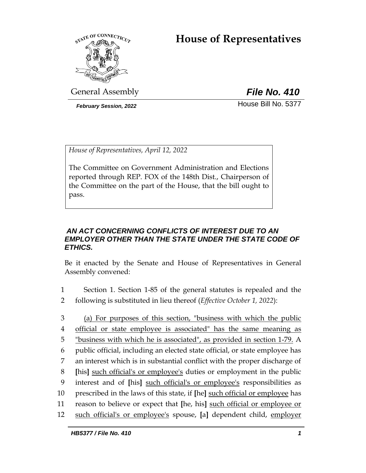# **House of Representatives**



General Assembly *File No. 410*

**February Session, 2022 House Bill No. 5377** 

*House of Representatives, April 12, 2022*

The Committee on Government Administration and Elections reported through REP. FOX of the 148th Dist., Chairperson of the Committee on the part of the House, that the bill ought to pass.

### *AN ACT CONCERNING CONFLICTS OF INTEREST DUE TO AN EMPLOYER OTHER THAN THE STATE UNDER THE STATE CODE OF ETHICS.*

Be it enacted by the Senate and House of Representatives in General Assembly convened:

- 1 Section 1. Section 1-85 of the general statutes is repealed and the 2 following is substituted in lieu thereof (*Effective October 1, 2022*):
- 3 (a) For purposes of this section, "business with which the public 4 official or state employee is associated" has the same meaning as 5 "business with which he is associated", as provided in section 1-79. A 6 public official, including an elected state official, or state employee has 7 an interest which is in substantial conflict with the proper discharge of 8 **[**his**]** such official's or employee's duties or employment in the public 9 interest and of **[**his**]** such official's or employee's responsibilities as 10 prescribed in the laws of this state, if **[**he**]** such official or employee has 11 reason to believe or expect that **[**he, his**]** such official or employee or 12 such official's or employee's spouse, **[**a**]** dependent child, employer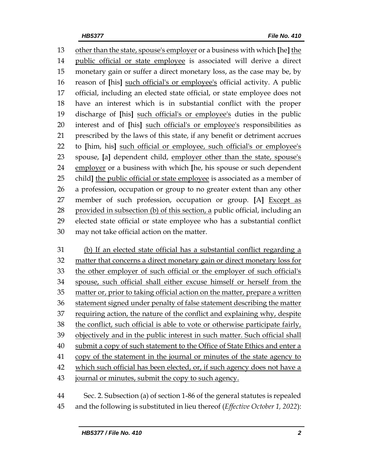other than the state, spouse's employer or a business with which **[**he**]** the public official or state employee is associated will derive a direct monetary gain or suffer a direct monetary loss, as the case may be, by reason of **[**his**]** such official's or employee's official activity. A public official, including an elected state official, or state employee does not have an interest which is in substantial conflict with the proper discharge of **[**his**]** such official's or employee's duties in the public interest and of **[**his**]** such official's or employee's responsibilities as prescribed by the laws of this state, if any benefit or detriment accrues to **[**him, his**]** such official or employee, such official's or employee's spouse, **[**a**]** dependent child, employer other than the state, spouse's employer or a business with which **[**he, his spouse or such dependent child**]** the public official or state employee is associated as a member of a profession, occupation or group to no greater extent than any other member of such profession, occupation or group. **[**A**]** Except as provided in subsection (b) of this section, a public official, including an elected state official or state employee who has a substantial conflict may not take official action on the matter.

 (b) If an elected state official has a substantial conflict regarding a matter that concerns a direct monetary gain or direct monetary loss for the other employer of such official or the employer of such official's spouse, such official shall either excuse himself or herself from the matter or, prior to taking official action on the matter, prepare a written statement signed under penalty of false statement describing the matter requiring action, the nature of the conflict and explaining why, despite the conflict, such official is able to vote or otherwise participate fairly, objectively and in the public interest in such matter. Such official shall 40 submit a copy of such statement to the Office of State Ethics and enter a copy of the statement in the journal or minutes of the state agency to 42 which such official has been elected, or, if such agency does not have a journal or minutes, submit the copy to such agency.

 Sec. 2. Subsection (a) of section 1-86 of the general statutes is repealed and the following is substituted in lieu thereof (*Effective October 1, 2022*):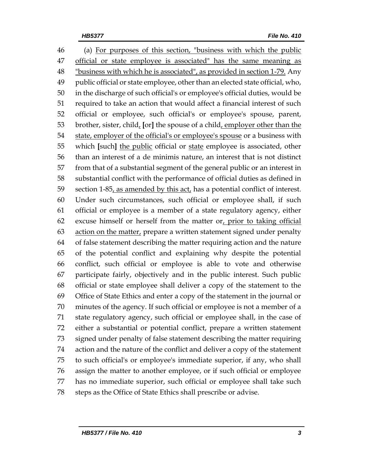(a) For purposes of this section, "business with which the public official or state employee is associated" has the same meaning as *"business with which he is associated", as provided in section 1-79.* Any public official or state employee, other than an elected state official, who, in the discharge of such official's or employee's official duties, would be required to take an action that would affect a financial interest of such official or employee, such official's or employee's spouse, parent, brother, sister, child, **[**or**]** the spouse of a child, employer other than the state, employer of the official's or employee's spouse or a business with which **[**such**]** the public official or state employee is associated, other than an interest of a de minimis nature, an interest that is not distinct from that of a substantial segment of the general public or an interest in substantial conflict with the performance of official duties as defined in 59 section 1-85, as amended by this act, has a potential conflict of interest. Under such circumstances, such official or employee shall, if such official or employee is a member of a state regulatory agency, either excuse himself or herself from the matter or, prior to taking official 63 action on the matter, prepare a written statement signed under penalty of false statement describing the matter requiring action and the nature of the potential conflict and explaining why despite the potential conflict, such official or employee is able to vote and otherwise participate fairly, objectively and in the public interest. Such public official or state employee shall deliver a copy of the statement to the Office of State Ethics and enter a copy of the statement in the journal or minutes of the agency. If such official or employee is not a member of a state regulatory agency, such official or employee shall, in the case of either a substantial or potential conflict, prepare a written statement signed under penalty of false statement describing the matter requiring action and the nature of the conflict and deliver a copy of the statement to such official's or employee's immediate superior, if any, who shall assign the matter to another employee, or if such official or employee has no immediate superior, such official or employee shall take such steps as the Office of State Ethics shall prescribe or advise.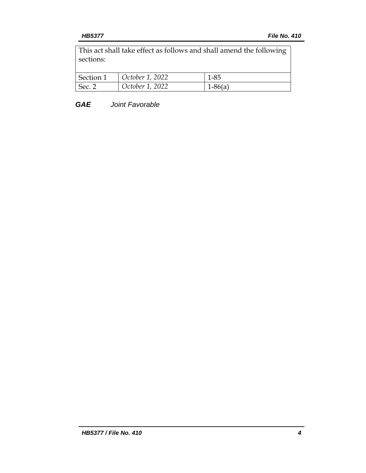This act shall take effect as follows and shall amend the following sections:

| Section 1 | October 1, 2022 | $1 - 85$  |
|-----------|-----------------|-----------|
| Sec. 2    | October 1, 2022 | $1-86(a)$ |

*GAE Joint Favorable*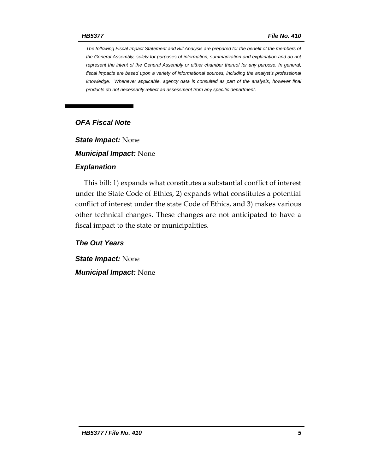*The following Fiscal Impact Statement and Bill Analysis are prepared for the benefit of the members of the General Assembly, solely for purposes of information, summarization and explanation and do not represent the intent of the General Assembly or either chamber thereof for any purpose. In general,*  fiscal impacts are based upon a variety of informational sources, including the analyst's professional *knowledge. Whenever applicable, agency data is consulted as part of the analysis, however final products do not necessarily reflect an assessment from any specific department.*

#### *OFA Fiscal Note*

*State Impact:* None

*Municipal Impact:* None

#### *Explanation*

This bill: 1) expands what constitutes a substantial conflict of interest under the State Code of Ethics, 2) expands what constitutes a potential conflict of interest under the state Code of Ethics, and 3) makes various other technical changes. These changes are not anticipated to have a fiscal impact to the state or municipalities.

*The Out Years*

*State Impact:* None *Municipal Impact:* None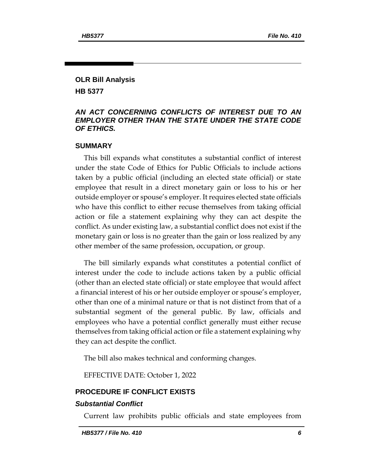## **OLR Bill Analysis**

**HB 5377**

#### *AN ACT CONCERNING CONFLICTS OF INTEREST DUE TO AN EMPLOYER OTHER THAN THE STATE UNDER THE STATE CODE OF ETHICS.*

#### **SUMMARY**

This bill expands what constitutes a substantial conflict of interest under the state Code of Ethics for Public Officials to include actions taken by a public official (including an elected state official) or state employee that result in a direct monetary gain or loss to his or her outside employer or spouse's employer. It requires elected state officials who have this conflict to either recuse themselves from taking official action or file a statement explaining why they can act despite the conflict. As under existing law, a substantial conflict does not exist if the monetary gain or loss is no greater than the gain or loss realized by any other member of the same profession, occupation, or group.

The bill similarly expands what constitutes a potential conflict of interest under the code to include actions taken by a public official (other than an elected state official) or state employee that would affect a financial interest of his or her outside employer or spouse's employer, other than one of a minimal nature or that is not distinct from that of a substantial segment of the general public. By law, officials and employees who have a potential conflict generally must either recuse themselves from taking official action or file a statement explaining why they can act despite the conflict.

The bill also makes technical and conforming changes.

EFFECTIVE DATE: October 1, 2022

#### **PROCEDURE IF CONFLICT EXISTS**

#### *Substantial Conflict*

Current law prohibits public officials and state employees from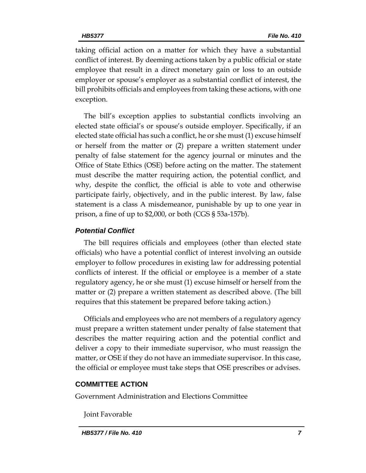taking official action on a matter for which they have a substantial conflict of interest. By deeming actions taken by a public official or state employee that result in a direct monetary gain or loss to an outside employer or spouse's employer as a substantial conflict of interest, the bill prohibits officials and employees from taking these actions, with one exception.

The bill's exception applies to substantial conflicts involving an elected state official's or spouse's outside employer. Specifically, if an elected state official has such a conflict, he or she must (1) excuse himself or herself from the matter or (2) prepare a written statement under penalty of false statement for the agency journal or minutes and the Office of State Ethics (OSE) before acting on the matter. The statement must describe the matter requiring action, the potential conflict, and why, despite the conflict, the official is able to vote and otherwise participate fairly, objectively, and in the public interest. By law, false statement is a class A misdemeanor, punishable by up to one year in prison, a fine of up to \$2,000, or both (CGS § 53a-157b).

#### *Potential Conflict*

The bill requires officials and employees (other than elected state officials) who have a potential conflict of interest involving an outside employer to follow procedures in existing law for addressing potential conflicts of interest. If the official or employee is a member of a state regulatory agency, he or she must (1) excuse himself or herself from the matter or (2) prepare a written statement as described above. (The bill requires that this statement be prepared before taking action.)

Officials and employees who are not members of a regulatory agency must prepare a written statement under penalty of false statement that describes the matter requiring action and the potential conflict and deliver a copy to their immediate supervisor, who must reassign the matter, or OSE if they do not have an immediate supervisor. In this case, the official or employee must take steps that OSE prescribes or advises.

#### **COMMITTEE ACTION**

Government Administration and Elections Committee

Joint Favorable